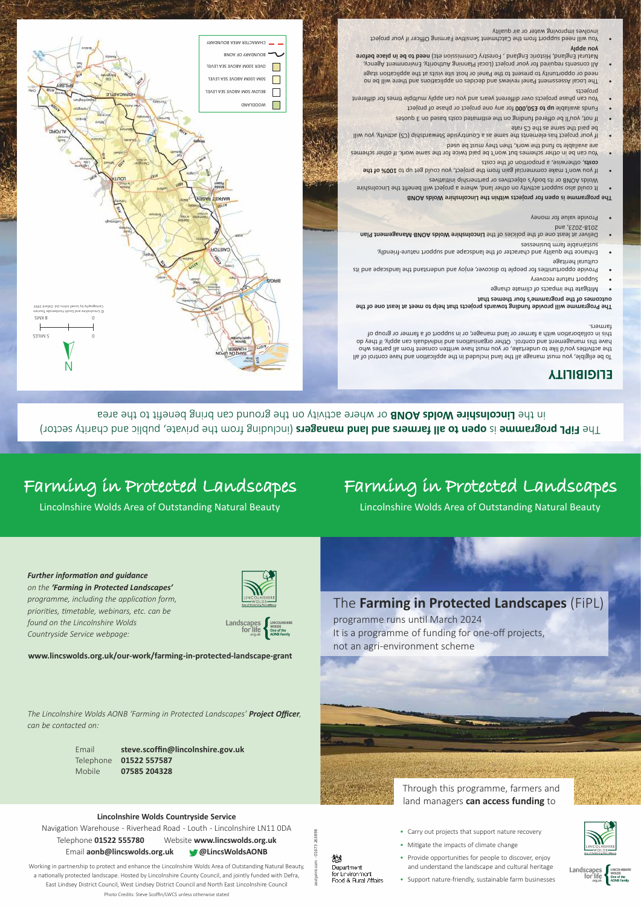www.lincswolds.org.uk/our-work/farming-in-protected-landscape-grant

programme runs until March 2024 It is a programme of funding for one-off projects, not an agri-environment scheme

**Further information and guidance** on the 'Farming in Protected Landscapes' programme, including the application form, priorities, timetable, webinars, etc. can be found on the Lincolnshire Wolds Countryside Service webpage:



for life

The Farming in Protected Landscapes (FiPL)

# Farming in Protected Landscapes

Lincolnshire Wolds Area of Outstanding Natural Beauty

## Farming in Protected Landscapes

Lincolnshire Wolds Area of Outstanding Natural Beauty

in the Lincolnshire Wolds abous or where activity on the ground can bring benefit to the area The FiPL programme is open to all farmers and land managers (including from the private, public and charity sector)

263898

01673

慾

Department

for Environment

Food & Rural Affairs

## **ELIGIBILITY**

iarmers. to collaboration with a farmer or land manager, or in support of a farmer or group of have this management and control. Other organisations and individuals can apply, if they do the activities you'd like to undertake, or you must have written consent from all parties who To be eligible, you must manage all the land included in the application and have control of all

outcomes of the programme's four themes that The Programme will provide funding towards projects that help to meet at least one of the

- Mitigate the impacts of climate change
- Support nature recovery
- cultural heritage Provide opportunities for people to discover, enjoy and understand the landscape and its
- sassanizud mast aldsnistaus Enhance the quality and character of the landscape and support nature-triendly,
- bns, 502-8105 Deliver at least one of the policies of the Lincolnshire Wolds AONB Management Plan
- Provide value for money
- The programme is open for projects within the Lincolnshire Wolds AONB
- Wolds AONB or its body's objectives or partnership initiatives It could also support activity on other land, where a project will benefit the Lincolnshire
- costs, otherwise, a proportion of the costs If you won't make commercial gain from the project, you could get up to 100% of the
- are available to fund the work, then they must be used You can be in other schemes but won't be paid twice for the same work. If other schemes
- be paid the same as the CS rate Iliw uoy with the clements the same as a Countryside Stewardship (CS) activity, you will
- If not, you'll be offered funding on the estimated costs based on 3 quotes
- Funds available up to £50,000 for any one project or phase of project
- broJects You can phase projects over different years and you can apply multiple times for different
- need or opportunity to present to the Panel or host site visits at the application stage The Local Assessment Panel reviews and decides on applications and there will be no
- Aidde noA Natural England, Historic England, Forestry Commission etc) need to be in place before All consents required for your project (Local Planning Authority, Environment Agency,

INVOIVES IMPLOVING WATER OF AIR QUAIITY You will need support from the Catchment Sensitive Farming Officer if your project



The Lincolnshire Wolds AONB 'Farming in Protected Landscapes' Project Officer, can be contacted on:

| Email  | steve.scoffin@lincolnshire.gov.uk |
|--------|-----------------------------------|
|        | Telephone 01522 557587            |
| Mobile | 07585 204328                      |



#### Lincolnshire Wolds Countryside Service

Navigation Warehouse - Riverhead Road - Louth - Lincolnshire LN11 ODA Website www.lincswolds.org.uk Telephone 01522 555780 Email aonb@lincswolds.org.uk **@LincsWoldsAONB** 

Working in partnership to protect and enhance the Lincolnshire Wolds Area of Outstanding Natural Beauty, a nationally protected landscape. Hosted by Lincolnshire County Council, and jointly funded with Defra, East Lindsey District Council, West Lindsey District Council and North East Lincolnshire Council



- Mitigate the impacts of climate change
- Provide opportunities for people to discover, enjoy and understand the landscape and cultural heritage
- Support nature-friendly, sustainable farm businesses